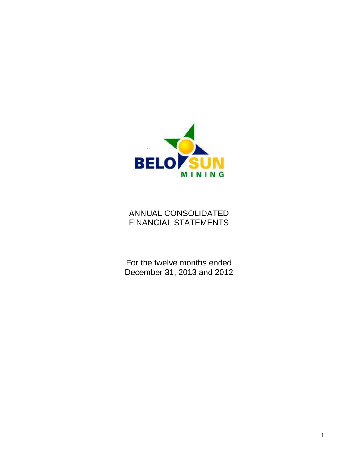

# ANNUAL CONSOLIDATED FINANCIAL STATEMENTS

For the twelve months ended December 31, 2013 and 2012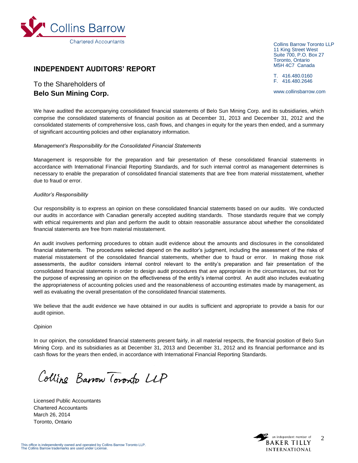

## **INDEPENDENT AUDITORS' REPORT**

## To the Shareholders of **Belo Sun Mining Corp.**

Collins Barrow Toronto LLP 11 King Street West Suite 700, P.O. Box 27 Toronto, Ontario M5H 4C7 Canada

T. 416.480.0160 F. 416.480.2646

www.collinsbarrow.com

We have audited the accompanying consolidated financial statements of Belo Sun Mining Corp. and its subsidiaries, which comprise the consolidated statements of financial position as at December 31, 2013 and December 31, 2012 and the consolidated statements of comprehensive loss, cash flows, and changes in equity for the years then ended, and a summary of significant accounting policies and other explanatory information.

#### *Management's Responsibility for the Consolidated Financial Statements*

Management is responsible for the preparation and fair presentation of these consolidated financial statements in accordance with International Financial Reporting Standards, and for such internal control as management determines is necessary to enable the preparation of consolidated financial statements that are free from material misstatement, whether due to fraud or error.

#### *Auditor's Responsibility*

Our responsibility is to express an opinion on these consolidated financial statements based on our audits. We conducted our audits in accordance with Canadian generally accepted auditing standards. Those standards require that we comply with ethical requirements and plan and perform the audit to obtain reasonable assurance about whether the consolidated financial statements are free from material misstatement.

An audit involves performing procedures to obtain audit evidence about the amounts and disclosures in the consolidated financial statements. The procedures selected depend on the auditor's judgment, including the assessment of the risks of material misstatement of the consolidated financial statements, whether due to fraud or error. In making those risk assessments, the auditor considers internal control relevant to the entity's preparation and fair presentation of the consolidated financial statements in order to design audit procedures that are appropriate in the circumstances, but not for the purpose of expressing an opinion on the effectiveness of the entity's internal control. An audit also includes evaluating the appropriateness of accounting policies used and the reasonableness of accounting estimates made by management, as well as evaluating the overall presentation of the consolidated financial statements.

We believe that the audit evidence we have obtained in our audits is sufficient and appropriate to provide a basis for our audit opinion.

#### *Opinion*

In our opinion, the consolidated financial statements present fairly, in all material respects, the financial position of Belo Sun Mining Corp. and its subsidiaries as at December 31, 2013 and December 31, 2012 and its financial performance and its cash flows for the years then ended, in accordance with International Financial Reporting Standards.

Colline Barrow Toronto LLP

Licensed Public Accountants Chartered Accountants March 26, 2014 Toronto, Ontario

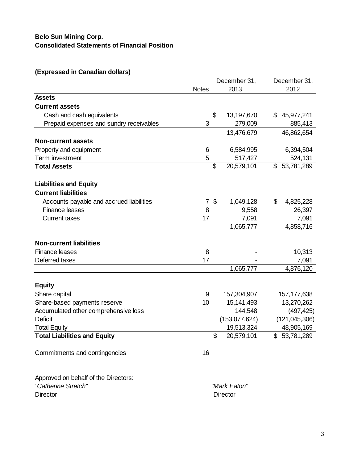## **Consolidated Statements of Financial Position Belo Sun Mining Corp.**

|                                          |              | December 31,              |                 |    | December 31,    |  |
|------------------------------------------|--------------|---------------------------|-----------------|----|-----------------|--|
|                                          | <b>Notes</b> | 2013                      |                 |    | 2012            |  |
| <b>Assets</b>                            |              |                           |                 |    |                 |  |
| <b>Current assets</b>                    |              |                           |                 |    |                 |  |
| Cash and cash equivalents                |              | \$                        | 13,197,670      | \$ | 45,977,241      |  |
| Prepaid expenses and sundry receivables  | 3            |                           | 279,009         |    | 885,413         |  |
|                                          |              |                           | 13,476,679      |    | 46,862,654      |  |
| <b>Non-current assets</b>                |              |                           |                 |    |                 |  |
| Property and equipment                   | 6            |                           | 6,584,995       |    | 6,394,504       |  |
| Term investment                          | 5            |                           | 517,427         |    | 524,131         |  |
| <b>Total Assets</b>                      |              | \$                        | 20,579,101      | \$ | 53,781,289      |  |
|                                          |              |                           |                 |    |                 |  |
| <b>Liabilities and Equity</b>            |              |                           |                 |    |                 |  |
| <b>Current liabilities</b>               |              |                           |                 |    |                 |  |
| Accounts payable and accrued liabilities | 7            | $\boldsymbol{\mathsf{S}}$ | 1,049,128       | \$ | 4,825,228       |  |
| <b>Finance leases</b>                    | 8            |                           | 9,558           |    | 26,397          |  |
| <b>Current taxes</b>                     | 17           |                           | 7,091           |    | 7,091           |  |
|                                          |              |                           | 1,065,777       |    | 4,858,716       |  |
| <b>Non-current liabilities</b>           |              |                           |                 |    |                 |  |
| <b>Finance leases</b>                    | 8            |                           |                 |    | 10,313          |  |
| Deferred taxes                           | 17           |                           |                 |    | 7,091           |  |
|                                          |              |                           | 1,065,777       |    | 4,876,120       |  |
|                                          |              |                           |                 |    |                 |  |
| <b>Equity</b>                            |              |                           |                 |    |                 |  |
| Share capital                            | 9            |                           | 157,304,907     |    | 157, 177, 638   |  |
| Share-based payments reserve             | 10           |                           | 15,141,493      |    | 13,270,262      |  |
| Accumulated other comprehensive loss     |              |                           | 144,548         |    | (497, 425)      |  |
| <b>Deficit</b>                           |              |                           | (153,077,624)   |    | (121, 045, 306) |  |
| <b>Total Equity</b>                      |              |                           | 19,513,324      |    | 48,905,169      |  |
| <b>Total Liabilities and Equity</b>      |              | \$                        | 20,579,101      | \$ | 53,781,289      |  |
| Commitments and contingencies            | 16           |                           |                 |    |                 |  |
|                                          |              |                           |                 |    |                 |  |
| Approved on behalf of the Directors:     |              |                           |                 |    |                 |  |
| "Catherine Stretch"                      |              |                           | "Mark Eaton"    |    |                 |  |
| <b>Director</b>                          |              |                           | <b>Director</b> |    |                 |  |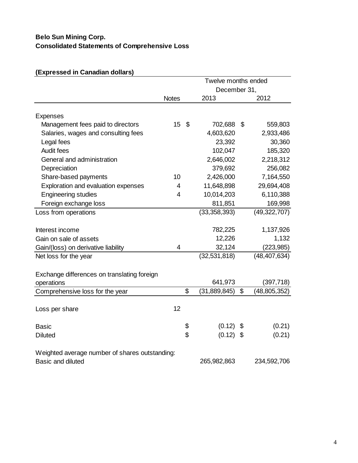## **Consolidated Statements of Comprehensive Loss Belo Sun Mining Corp.**

| LAPI GƏƏGU III VAHAYIAH YUNAI ƏJ               |                |                      |    |                |  |  |  |
|------------------------------------------------|----------------|----------------------|----|----------------|--|--|--|
|                                                |                | Twelve months ended  |    |                |  |  |  |
|                                                |                | December 31,         |    |                |  |  |  |
|                                                | <b>Notes</b>   | 2013                 |    | 2012           |  |  |  |
| <b>Expenses</b>                                |                |                      |    |                |  |  |  |
| Management fees paid to directors              | $15 \quad$ \$  | 702,688              | \$ | 559,803        |  |  |  |
| Salaries, wages and consulting fees            |                | 4,603,620            |    | 2,933,486      |  |  |  |
| Legal fees                                     |                | 23,392               |    | 30,360         |  |  |  |
| Audit fees                                     |                | 102,047              |    | 185,320        |  |  |  |
| General and administration                     |                | 2,646,002            |    | 2,218,312      |  |  |  |
| Depreciation                                   |                | 379,692              |    | 256,082        |  |  |  |
| Share-based payments                           | 10             | 2,426,000            |    | 7,164,550      |  |  |  |
| Exploration and evaluation expenses            | 4              | 11,648,898           |    | 29,694,408     |  |  |  |
| <b>Engineering studies</b>                     | $\overline{4}$ | 10,014,203           |    | 6,110,388      |  |  |  |
| Foreign exchange loss                          |                | 811,851              |    | 169,998        |  |  |  |
| Loss from operations                           |                | (33, 358, 393)       |    | (49, 322, 707) |  |  |  |
|                                                |                |                      |    |                |  |  |  |
| Interest income                                |                | 782,225              |    | 1,137,926      |  |  |  |
| Gain on sale of assets                         |                | 12,226               |    | 1,132          |  |  |  |
| Gain/(loss) on derivative liability            | $\overline{4}$ | 32,124               |    | (223, 985)     |  |  |  |
| Net loss for the year                          |                | (32, 531, 818)       |    | (48, 407, 634) |  |  |  |
| Exchange differences on translating foreign    |                |                      |    |                |  |  |  |
| operations                                     |                | 641,973              |    | (397, 718)     |  |  |  |
| Comprehensive loss for the year                |                | \$<br>(31, 889, 845) | \$ | (48, 805, 352) |  |  |  |
|                                                |                |                      |    |                |  |  |  |
| Loss per share                                 | 12             |                      |    |                |  |  |  |
| <b>Basic</b>                                   |                | \$<br>$(0.12)$ \$    |    | (0.21)         |  |  |  |
| <b>Diluted</b>                                 |                | \$<br>$(0.12)$ \$    |    | (0.21)         |  |  |  |
| Weighted average number of shares outstanding: |                |                      |    |                |  |  |  |
| Basic and diluted                              |                | 265,982,863          |    | 234,592,706    |  |  |  |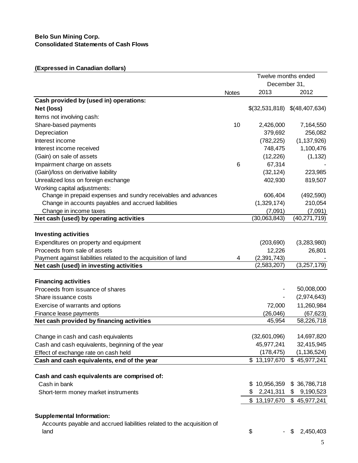## **Consolidated Statements of Cash Flows Belo Sun Mining Corp.**

|                                                                        |              | Twelve months ended |                                 |
|------------------------------------------------------------------------|--------------|---------------------|---------------------------------|
|                                                                        |              | December 31,        |                                 |
|                                                                        | <b>Notes</b> | 2013                | 2012                            |
| Cash provided by (used in) operations:                                 |              |                     |                                 |
| Net (loss)                                                             |              |                     | $$(32,531,818)$ $$(48,407,634)$ |
| Items not involving cash:                                              |              |                     |                                 |
| Share-based payments                                                   | 10           | 2,426,000           | 7,164,550                       |
| Depreciation                                                           |              | 379,692             | 256,082                         |
| Interest income                                                        |              | (782, 225)          | (1, 137, 926)                   |
| Interest income received                                               |              | 748,475             | 1,100,476                       |
| (Gain) on sale of assets                                               |              | (12, 226)           | (1, 132)                        |
| Impairment charge on assets                                            | 6            | 67,314              |                                 |
| (Gain)/loss on derivative liability                                    |              | (32, 124)           | 223,985                         |
| Unrealized loss on foreign exchange                                    |              | 402,930             | 819,507                         |
| Working capital adjustments:                                           |              |                     |                                 |
| Change in prepaid expenses and sundry receivables and advances         |              | 606,404             | (492, 590)                      |
| Change in accounts payables and accrued liabilities                    |              | (1,329,174)         | 210,054                         |
| Change in income taxes                                                 |              | (7,091)             | (7,091)                         |
| Net cash (used) by operating activities                                |              | (30,063,843)        | (40, 271, 719)                  |
|                                                                        |              |                     |                                 |
| <b>Investing activities</b>                                            |              |                     |                                 |
| Expenditures on property and equipment                                 |              | (203, 690)          | (3,283,980)                     |
| Proceeds from sale of assets                                           |              | 12,226              | 26,801                          |
| Payment against liabilities related to the acquisition of land         | 4            | (2,391,743)         |                                 |
| Net cash (used) in investing activities                                |              | (2,583,207)         | (3,257,179)                     |
|                                                                        |              |                     |                                 |
| <b>Financing activities</b>                                            |              |                     |                                 |
| Proceeds from issuance of shares                                       |              |                     | 50,008,000                      |
| Share issuance costs                                                   |              |                     | (2,974,643)                     |
| Exercise of warrants and options                                       |              | 72,000              | 11,260,984                      |
| Finance lease payments                                                 |              | (26, 046)           | (67, 623)                       |
| Net cash provided by financing activities                              |              | 45,954              | 58,226,718                      |
|                                                                        |              |                     |                                 |
| Change in cash and cash equivalents                                    |              | (32,601,096)        | 14,697,820                      |
| Cash and cash equivalents, beginning of the year                       |              | 45,977,241          | 32,415,945                      |
| Effect of exchange rate on cash held                                   |              | (178, 475)          | (1, 136, 524)                   |
| Cash and cash equivalents, end of the year                             |              | \$13,197,670        | \$45,977,241                    |
|                                                                        |              |                     |                                 |
| Cash and cash equivalents are comprised of:                            |              |                     |                                 |
| Cash in bank                                                           |              | \$10,956,359        | \$36,786,718                    |
| Short-term money market instruments                                    |              | \$2,241,311         | 9,190,523<br>\$                 |
|                                                                        |              | \$13,197,670        | \$45,977,241                    |
|                                                                        |              |                     |                                 |
| <b>Supplemental Information:</b>                                       |              |                     |                                 |
| Accounts payable and accrued liabilities related to the acquisition of |              |                     |                                 |
| land                                                                   |              | \$                  | 2,450,403<br>S.                 |
|                                                                        |              |                     |                                 |
|                                                                        |              |                     | 5                               |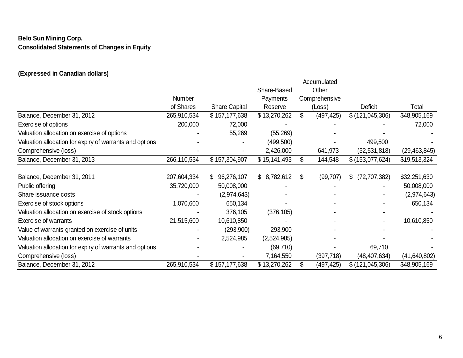## **Belo Sun Mining Corp. Consolidated Statements of Changes in Equity**

|                                                         |               |                      | Accumulated  |    |               |                      |                |  |  |
|---------------------------------------------------------|---------------|----------------------|--------------|----|---------------|----------------------|----------------|--|--|
|                                                         |               |                      | Share-Based  |    | Other         |                      |                |  |  |
|                                                         | <b>Number</b> |                      | Payments     |    | Comprehensive |                      |                |  |  |
|                                                         | of Shares     | <b>Share Capital</b> | Reserve      |    | (Loss)        | Deficit              | Total          |  |  |
| Balance, December 31, 2012                              | 265,910,534   | \$157,177,638        | \$13,270,262 | \$ | (497, 425)    | \$(121, 045, 306)    | \$48,905,169   |  |  |
| Exercise of options                                     | 200,000       | 72,000               |              |    |               |                      | 72,000         |  |  |
| Valuation allocation on exercise of options             |               | 55,269               | (55, 269)    |    |               |                      |                |  |  |
| Valuation allocation for expiry of warrants and options |               |                      | (499, 500)   |    |               | 499,500              |                |  |  |
| Comprehensive (loss)                                    |               |                      | 2,426,000    |    | 641,973       | (32,531,818)         | (29, 463, 845) |  |  |
| Balance, December 31, 2013                              | 266,110,534   | \$157,304,907        | \$15,141,493 | \$ | 144,548       | \$(153,077,624)      | \$19,513,324   |  |  |
| Balance, December 31, 2011                              | 207,604,334   | 96,276,107           | \$8,782,612  | \$ | (99, 707)     | (72, 707, 382)<br>\$ | \$32,251,630   |  |  |
| Public offering                                         | 35,720,000    | 50,008,000           |              |    |               |                      | 50,008,000     |  |  |
| Share issuance costs                                    |               | (2,974,643)          |              |    |               |                      | (2,974,643)    |  |  |
| Exercise of stock options                               | 1,070,600     | 650,134              |              |    |               |                      | 650,134        |  |  |
| Valuation allocation on exercise of stock options       |               | 376,105              | (376, 105)   |    |               |                      |                |  |  |
| <b>Exercise of warrants</b>                             | 21,515,600    | 10,610,850           |              |    |               |                      | 10,610,850     |  |  |
| Value of warrants granted on exercise of units          |               | (293,900)            | 293,900      |    |               |                      |                |  |  |
| Valuation allocation on exercise of warrants            |               | 2,524,985            | (2,524,985)  |    |               |                      |                |  |  |
| Valuation allocation for expiry of warrants and options |               |                      | (69, 710)    |    |               | 69,710               |                |  |  |
| Comprehensive (loss)                                    |               |                      | 7,164,550    |    | (397, 718)    | (48, 407, 634)       | (41, 640, 802) |  |  |
| Balance, December 31, 2012                              | 265,910,534   | \$157,177,638        | \$13,270,262 | \$ | (497,425)     | \$(121, 045, 306)    | \$48,905,169   |  |  |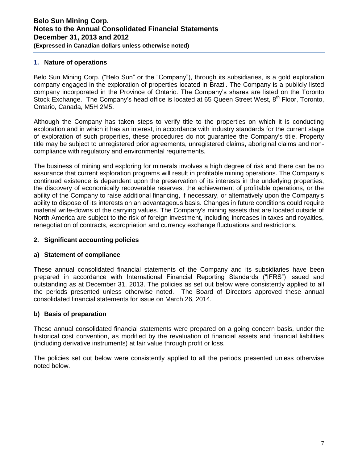### **1. Nature of operations**

Belo Sun Mining Corp. ("Belo Sun" or the "Company"), through its subsidiaries, is a gold exploration company engaged in the exploration of properties located in Brazil. The Company is a publicly listed company incorporated in the Province of Ontario. The Company's shares are listed on the Toronto Stock Exchange. The Company's head office is located at 65 Queen Street West, 8<sup>th</sup> Floor, Toronto, Ontario, Canada, M5H 2M5.

Although the Company has taken steps to verify title to the properties on which it is conducting exploration and in which it has an interest, in accordance with industry standards for the current stage of exploration of such properties, these procedures do not guarantee the Company's title. Property title may be subject to unregistered prior agreements, unregistered claims, aboriginal claims and noncompliance with regulatory and environmental requirements.

The business of mining and exploring for minerals involves a high degree of risk and there can be no assurance that current exploration programs will result in profitable mining operations. The Company's continued existence is dependent upon the preservation of its interests in the underlying properties, the discovery of economically recoverable reserves, the achievement of profitable operations, or the ability of the Company to raise additional financing, if necessary, or alternatively upon the Company's ability to dispose of its interests on an advantageous basis. Changes in future conditions could require material write-downs of the carrying values. The Company's mining assets that are located outside of North America are subject to the risk of foreign investment, including increases in taxes and royalties, renegotiation of contracts, expropriation and currency exchange fluctuations and restrictions.

## **2. Significant accounting policies**

#### **a) Statement of compliance**

These annual consolidated financial statements of the Company and its subsidiaries have been prepared in accordance with International Financial Reporting Standards ("IFRS") issued and outstanding as at December 31, 2013. The policies as set out below were consistently applied to all the periods presented unless otherwise noted. The Board of Directors approved these annual consolidated financial statements for issue on March 26, 2014.

## **b) Basis of preparation**

These annual consolidated financial statements were prepared on a going concern basis, under the historical cost convention, as modified by the revaluation of financial assets and financial liabilities (including derivative instruments) at fair value through profit or loss.

The policies set out below were consistently applied to all the periods presented unless otherwise noted below.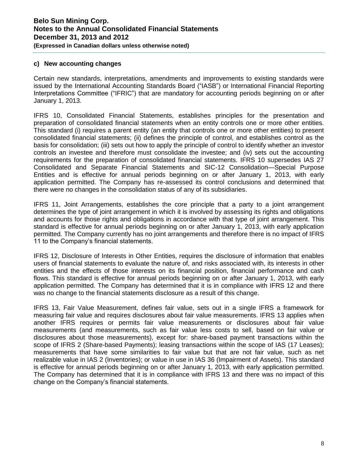#### **c) New accounting changes**

Certain new standards, interpretations, amendments and improvements to existing standards were issued by the International Accounting Standards Board ("IASB") or International Financial Reporting Interpretations Committee ("IFRIC") that are mandatory for accounting periods beginning on or after January 1, 2013.

IFRS 10, Consolidated Financial Statements, establishes principles for the presentation and preparation of consolidated financial statements when an entity controls one or more other entities. This standard (i) requires a parent entity (an entity that controls one or more other entities) to present consolidated financial statements; (ii) defines the principle of control, and establishes control as the basis for consolidation; (iii) sets out how to apply the principle of control to identify whether an investor controls an investee and therefore must consolidate the investee; and (iv) sets out the accounting requirements for the preparation of consolidated financial statements. IFRS 10 supersedes IAS 27 Consolidated and Separate Financial Statements and SIC-12 Consolidation—Special Purpose Entities and is effective for annual periods beginning on or after January 1, 2013, with early application permitted. The Company has re-assessed its control conclusions and determined that there were no changes in the consolidation status of any of its subsidiaries.

IFRS 11, Joint Arrangements, establishes the core principle that a party to a joint arrangement determines the type of joint arrangement in which it is involved by assessing its rights and obligations and accounts for those rights and obligations in accordance with that type of joint arrangement. This standard is effective for annual periods beginning on or after January 1, 2013, with early application permitted. The Company currently has no joint arrangements and therefore there is no impact of IFRS 11 to the Company's financial statements.

IFRS 12, Disclosure of Interests in Other Entities, requires the disclosure of information that enables users of financial statements to evaluate the nature of, and risks associated with, its interests in other entities and the effects of those interests on its financial position, financial performance and cash flows. This standard is effective for annual periods beginning on or after January 1, 2013, with early application permitted. The Company has determined that it is in compliance with IFRS 12 and there was no change to the financial statements disclosure as a result of this change.

IFRS 13, Fair Value Measurement, defines fair value, sets out in a single IFRS a framework for measuring fair value and requires disclosures about fair value measurements. IFRS 13 applies when another IFRS requires or permits fair value measurements or disclosures about fair value measurements (and measurements, such as fair value less costs to sell, based on fair value or disclosures about those measurements), except for: share-based payment transactions within the scope of IFRS 2 (Share-based Payments); leasing transactions within the scope of IAS (17 Leases); measurements that have some similarities to fair value but that are not fair value, such as net realizable value in IAS 2 (Inventories); or value in use in IAS 36 (Impairment of Assets). This standard is effective for annual periods beginning on or after January 1, 2013, with early application permitted. The Company has determined that it is in compliance with IFRS 13 and there was no impact of this change on the Company's financial statements.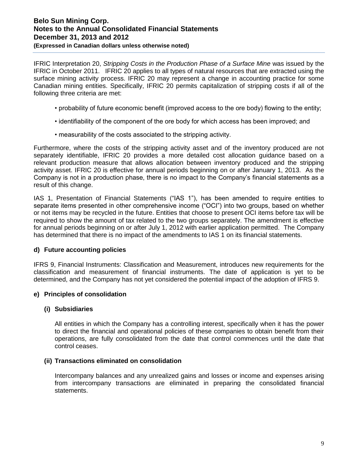**(Expressed in Canadian dollars unless otherwise noted)** 

IFRIC Interpretation 20, *Stripping Costs in the Production Phase of a Surface Mine* was issued by the IFRIC in October 2011. IFRIC 20 applies to all types of natural resources that are extracted using the surface mining activity process. IFRIC 20 may represent a change in accounting practice for some Canadian mining entities. Specifically, IFRIC 20 permits capitalization of stripping costs if all of the following three criteria are met:

- probability of future economic benefit (improved access to the ore body) flowing to the entity;
- identifiability of the component of the ore body for which access has been improved; and
- measurability of the costs associated to the stripping activity.

Furthermore, where the costs of the stripping activity asset and of the inventory produced are not separately identifiable, IFRIC 20 provides a more detailed cost allocation guidance based on a relevant production measure that allows allocation between inventory produced and the stripping activity asset. IFRIC 20 is effective for annual periods beginning on or after January 1, 2013. As the Company is not in a production phase, there is no impact to the Company's financial statements as a result of this change.

IAS 1, Presentation of Financial Statements ("IAS 1"), has been amended to require entities to separate items presented in other comprehensive income ("OCI") into two groups, based on whether or not items may be recycled in the future. Entities that choose to present OCI items before tax will be required to show the amount of tax related to the two groups separately. The amendment is effective for annual periods beginning on or after July 1, 2012 with earlier application permitted. The Company has determined that there is no impact of the amendments to IAS 1 on its financial statements.

#### **d) Future accounting policies**

IFRS 9, Financial Instruments: Classification and Measurement, introduces new requirements for the classification and measurement of financial instruments. The date of application is yet to be determined, and the Company has not yet considered the potential impact of the adoption of IFRS 9.

## **e) Principles of consolidation**

#### **(i) Subsidiaries**

All entities in which the Company has a controlling interest, specifically when it has the power to direct the financial and operational policies of these companies to obtain benefit from their operations, are fully consolidated from the date that control commences until the date that control ceases.

#### **(ii) Transactions eliminated on consolidation**

Intercompany balances and any unrealized gains and losses or income and expenses arising from intercompany transactions are eliminated in preparing the consolidated financial statements.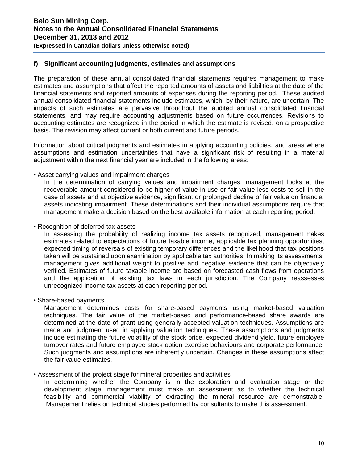## **(Expressed in Canadian dollars unless otherwise noted)**

#### **f) Significant accounting judgments, estimates and assumptions**

The preparation of these annual consolidated financial statements requires management to make estimates and assumptions that affect the reported amounts of assets and liabilities at the date of the financial statements and reported amounts of expenses during the reporting period. These audited annual consolidated financial statements include estimates, which, by their nature, are uncertain. The impacts of such estimates are pervasive throughout the audited annual consolidated financial statements, and may require accounting adjustments based on future occurrences. Revisions to accounting estimates are recognized in the period in which the estimate is revised, on a prospective basis. The revision may affect current or both current and future periods.

Information about critical judgments and estimates in applying accounting policies, and areas where assumptions and estimation uncertainties that have a significant risk of resulting in a material adjustment within the next financial year are included in the following areas:

• Asset carrying values and impairment charges

In the determination of carrying values and impairment charges, management looks at the recoverable amount considered to be higher of value in use or fair value less costs to sell in the case of assets and at objective evidence, significant or prolonged decline of fair value on financial assets indicating impairment. These determinations and their individual assumptions require that management make a decision based on the best available information at each reporting period.

• Recognition of deferred tax assets

In assessing the probability of realizing income tax assets recognized, management makes estimates related to expectations of future taxable income, applicable tax planning opportunities, expected timing of reversals of existing temporary differences and the likelihood that tax positions taken will be sustained upon examination by applicable tax authorities. In making its assessments, management gives additional weight to positive and negative evidence that can be objectively verified. Estimates of future taxable income are based on forecasted cash flows from operations and the application of existing tax laws in each jurisdiction. The Company reassesses unrecognized income tax assets at each reporting period.

• Share-based payments

Management determines costs for share-based payments using market-based valuation techniques. The fair value of the market-based and performance-based share awards are determined at the date of grant using generally accepted valuation techniques. Assumptions are made and judgment used in applying valuation techniques. These assumptions and judgments include estimating the future volatility of the stock price, expected dividend yield, future employee turnover rates and future employee stock option exercise behaviours and corporate performance. Such judgments and assumptions are inherently uncertain. Changes in these assumptions affect the fair value estimates.

• Assessment of the project stage for mineral properties and activities

In determining whether the Company is in the exploration and evaluation stage or the development stage, management must make an assessment as to whether the technical feasibility and commercial viability of extracting the mineral resource are demonstrable. Management relies on technical studies performed by consultants to make this assessment.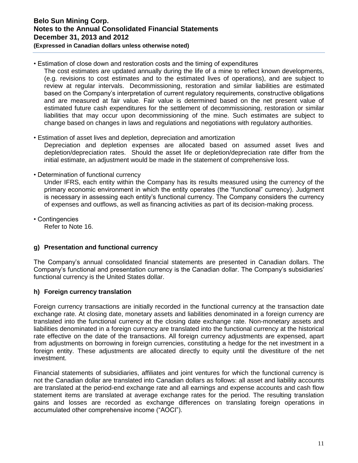**(Expressed in Canadian dollars unless otherwise noted)** 

#### • Estimation of close down and restoration costs and the timing of expenditures

The cost estimates are updated annually during the life of a mine to reflect known developments, (e.g. revisions to cost estimates and to the estimated lives of operations), and are subject to review at regular intervals. Decommissioning, restoration and similar liabilities are estimated based on the Company's interpretation of current regulatory requirements, constructive obligations and are measured at fair value. Fair value is determined based on the net present value of estimated future cash expenditures for the settlement of decommissioning, restoration or similar liabilities that may occur upon decommissioning of the mine. Such estimates are subject to change based on changes in laws and regulations and negotiations with regulatory authorities.

### • Estimation of asset lives and depletion, depreciation and amortization

Depreciation and depletion expenses are allocated based on assumed asset lives and depletion/depreciation rates. Should the asset life or depletion/depreciation rate differ from the initial estimate, an adjustment would be made in the statement of comprehensive loss.

• Determination of functional currency

Under IFRS, each entity within the Company has its results measured using the currency of the primary economic environment in which the entity operates (the "functional" currency). Judgment is necessary in assessing each entity's functional currency. The Company considers the currency of expenses and outflows, as well as financing activities as part of its decision-making process.

• Contingencies Refer to Note 16.

## **g) Presentation and functional currency**

The Company's annual consolidated financial statements are presented in Canadian dollars. The Company's functional and presentation currency is the Canadian dollar. The Company's subsidiaries' functional currency is the United States dollar.

## **h) Foreign currency translation**

Foreign currency transactions are initially recorded in the functional currency at the transaction date exchange rate. At closing date, monetary assets and liabilities denominated in a foreign currency are translated into the functional currency at the closing date exchange rate. Non-monetary assets and liabilities denominated in a foreign currency are translated into the functional currency at the historical rate effective on the date of the transactions. All foreign currency adjustments are expensed, apart from adjustments on borrowing in foreign currencies, constituting a hedge for the net investment in a foreign entity. These adjustments are allocated directly to equity until the divestiture of the net investment.

Financial statements of subsidiaries, affiliates and joint ventures for which the functional currency is not the Canadian dollar are translated into Canadian dollars as follows: all asset and liability accounts are translated at the period-end exchange rate and all earnings and expense accounts and cash flow statement items are translated at average exchange rates for the period. The resulting translation gains and losses are recorded as exchange differences on translating foreign operations in accumulated other comprehensive income ("AOCI").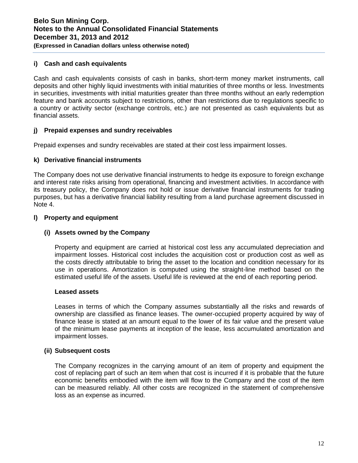### **i) Cash and cash equivalents**

Cash and cash equivalents consists of cash in banks, short-term money market instruments, call deposits and other highly liquid investments with initial maturities of three months or less. Investments in securities, investments with initial maturities greater than three months without an early redemption feature and bank accounts subject to restrictions, other than restrictions due to regulations specific to a country or activity sector (exchange controls, etc.) are not presented as cash equivalents but as financial assets.

### **j) Prepaid expenses and sundry receivables**

Prepaid expenses and sundry receivables are stated at their cost less impairment losses.

### **k) Derivative financial instruments**

The Company does not use derivative financial instruments to hedge its exposure to foreign exchange and interest rate risks arising from operational, financing and investment activities. In accordance with its treasury policy, the Company does not hold or issue derivative financial instruments for trading purposes, but has a derivative financial liability resulting from a land purchase agreement discussed in Note 4.

### **l) Property and equipment**

### **(i) Assets owned by the Company**

Property and equipment are carried at historical cost less any accumulated depreciation and impairment losses. Historical cost includes the acquisition cost or production cost as well as the costs directly attributable to bring the asset to the location and condition necessary for its use in operations. Amortization is computed using the straight-line method based on the estimated useful life of the assets. Useful life is reviewed at the end of each reporting period.

#### **Leased assets**

Leases in terms of which the Company assumes substantially all the risks and rewards of ownership are classified as finance leases. The owner-occupied property acquired by way of finance lease is stated at an amount equal to the lower of its fair value and the present value of the minimum lease payments at inception of the lease, less accumulated amortization and impairment losses.

#### **(ii) Subsequent costs**

The Company recognizes in the carrying amount of an item of property and equipment the cost of replacing part of such an item when that cost is incurred if it is probable that the future economic benefits embodied with the item will flow to the Company and the cost of the item can be measured reliably. All other costs are recognized in the statement of comprehensive loss as an expense as incurred.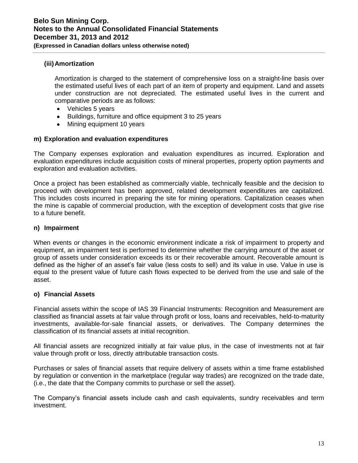### **(iii)Amortization**

Amortization is charged to the statement of comprehensive loss on a straight-line basis over the estimated useful lives of each part of an item of property and equipment. Land and assets under construction are not depreciated. The estimated useful lives in the current and comparative periods are as follows:

- Vehicles 5 years
- Buildings, furniture and office equipment 3 to 25 years
- $\bullet$ Mining equipment 10 years

#### **m) Exploration and evaluation expenditures**

The Company expenses exploration and evaluation expenditures as incurred. Exploration and evaluation expenditures include acquisition costs of mineral properties, property option payments and exploration and evaluation activities.

Once a project has been established as commercially viable, technically feasible and the decision to proceed with development has been approved, related development expenditures are capitalized. This includes costs incurred in preparing the site for mining operations. Capitalization ceases when the mine is capable of commercial production, with the exception of development costs that give rise to a future benefit.

### **n) Impairment**

When events or changes in the economic environment indicate a risk of impairment to property and equipment, an impairment test is performed to determine whether the carrying amount of the asset or group of assets under consideration exceeds its or their recoverable amount. Recoverable amount is defined as the higher of an asset's fair value (less costs to sell) and its value in use. Value in use is equal to the present value of future cash flows expected to be derived from the use and sale of the asset.

### **o) Financial Assets**

Financial assets within the scope of IAS 39 Financial Instruments: Recognition and Measurement are classified as financial assets at fair value through profit or loss, loans and receivables, held-to-maturity investments, available-for-sale financial assets, or derivatives. The Company determines the classification of its financial assets at initial recognition.

All financial assets are recognized initially at fair value plus, in the case of investments not at fair value through profit or loss, directly attributable transaction costs.

Purchases or sales of financial assets that require delivery of assets within a time frame established by regulation or convention in the marketplace (regular way trades) are recognized on the trade date, (i.e., the date that the Company commits to purchase or sell the asset).

The Company's financial assets include cash and cash equivalents, sundry receivables and term investment.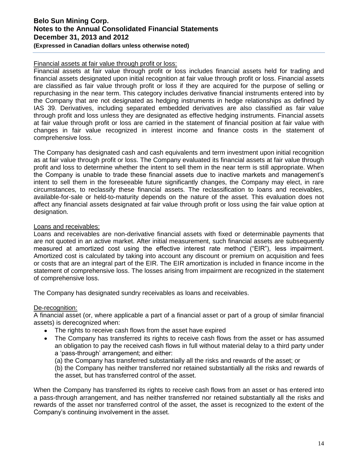## **(Expressed in Canadian dollars unless otherwise noted)**

#### Financial assets at fair value through profit or loss:

Financial assets at fair value through profit or loss includes financial assets held for trading and financial assets designated upon initial recognition at fair value through profit or loss. Financial assets are classified as fair value through profit or loss if they are acquired for the purpose of selling or repurchasing in the near term. This category includes derivative financial instruments entered into by the Company that are not designated as hedging instruments in hedge relationships as defined by IAS 39. Derivatives, including separated embedded derivatives are also classified as fair value through profit and loss unless they are designated as effective hedging instruments. Financial assets at fair value through profit or loss are carried in the statement of financial position at fair value with changes in fair value recognized in interest income and finance costs in the statement of comprehensive loss.

The Company has designated cash and cash equivalents and term investment upon initial recognition as at fair value through profit or loss. The Company evaluated its financial assets at fair value through profit and loss to determine whether the intent to sell them in the near term is still appropriate. When the Company is unable to trade these financial assets due to inactive markets and management's intent to sell them in the foreseeable future significantly changes, the Company may elect, in rare circumstances, to reclassify these financial assets. The reclassification to loans and receivables, available-for-sale or held-to-maturity depends on the nature of the asset. This evaluation does not affect any financial assets designated at fair value through profit or loss using the fair value option at designation.

## Loans and receivables:

Loans and receivables are non-derivative financial assets with fixed or determinable payments that are not quoted in an active market. After initial measurement, such financial assets are subsequently measured at amortized cost using the effective interest rate method ("EIR"), less impairment. Amortized cost is calculated by taking into account any discount or premium on acquisition and fees or costs that are an integral part of the EIR. The EIR amortization is included in finance income in the statement of comprehensive loss. The losses arising from impairment are recognized in the statement of comprehensive loss.

The Company has designated sundry receivables as loans and receivables.

#### De-recognition:

A financial asset (or, where applicable a part of a financial asset or part of a group of similar financial assets) is derecognized when:

- The rights to receive cash flows from the asset have expired
- The Company has transferred its rights to receive cash flows from the asset or has assumed an obligation to pay the received cash flows in full without material delay to a third party under a 'pass-through' arrangement; and either:
	- (a) the Company has transferred substantially all the risks and rewards of the asset; or

(b) the Company has neither transferred nor retained substantially all the risks and rewards of the asset, but has transferred control of the asset.

When the Company has transferred its rights to receive cash flows from an asset or has entered into a pass-through arrangement, and has neither transferred nor retained substantially all the risks and rewards of the asset nor transferred control of the asset, the asset is recognized to the extent of the Company's continuing involvement in the asset.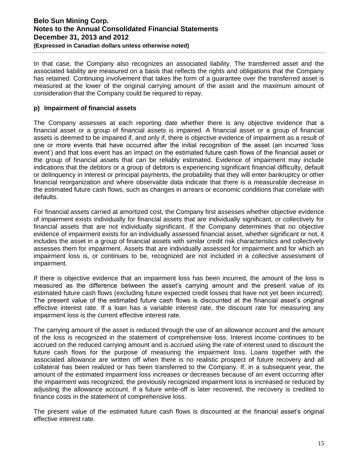**(Expressed in Canadian dollars unless otherwise noted)** 

In that case, the Company also recognizes an associated liability. The transferred asset and the associated liability are measured on a basis that reflects the rights and obligations that the Company has retained. Continuing involvement that takes the form of a guarantee over the transferred asset is measured at the lower of the original carrying amount of the asset and the maximum amount of consideration that the Company could be required to repay.

#### **p) Impairment of financial assets**

The Company assesses at each reporting date whether there is any objective evidence that a financial asset or a group of financial assets is impaired. A financial asset or a group of financial assets is deemed to be impaired if, and only if, there is objective evidence of impairment as a result of one or more events that have occurred after the initial recognition of the asset (an incurred ‗loss event') and that loss event has an impact on the estimated future cash flows of the financial asset or the group of financial assets that can be reliably estimated. Evidence of impairment may include indications that the debtors or a group of debtors is experiencing significant financial difficulty, default or delinquency in interest or principal payments, the probability that they will enter bankruptcy or other financial reorganization and where observable data indicate that there is a measurable decrease in the estimated future cash flows, such as changes in arrears or economic conditions that correlate with defaults.

For financial assets carried at amortized cost, the Company first assesses whether objective evidence of impairment exists individually for financial assets that are individually significant, or collectively for financial assets that are not individually significant. If the Company determines that no objective evidence of impairment exists for an individually assessed financial asset, whether significant or not, it includes the asset in a group of financial assets with similar credit risk characteristics and collectively assesses them for impairment. Assets that are individually assessed for impairment and for which an impairment loss is, or continues to be, recognized are not included in a collective assessment of impairment.

If there is objective evidence that an impairment loss has been incurred, the amount of the loss is measured as the difference between the asset's carrying amount and the present value of its estimated future cash flows (excluding future expected credit losses that have not yet been incurred). The present value of the estimated future cash flows is discounted at the financial asset's original effective interest rate. If a loan has a variable interest rate, the discount rate for measuring any impairment loss is the current effective interest rate.

The carrying amount of the asset is reduced through the use of an allowance account and the amount of the loss is recognized in the statement of comprehensive loss. Interest income continues to be accrued on the reduced carrying amount and is accrued using the rate of interest used to discount the future cash flows for the purpose of measuring the impairment loss. Loans together with the associated allowance are written off when there is no realistic prospect of future recovery and all collateral has been realized or has been transferred to the Company. If, in a subsequent year, the amount of the estimated impairment loss increases or decreases because of an event occurring after the impairment was recognized, the previously recognized impairment loss is increased or reduced by adjusting the allowance account. If a future write-off is later recovered, the recovery is credited to finance costs in the statement of comprehensive loss.

The present value of the estimated future cash flows is discounted at the financial asset's original effective interest rate.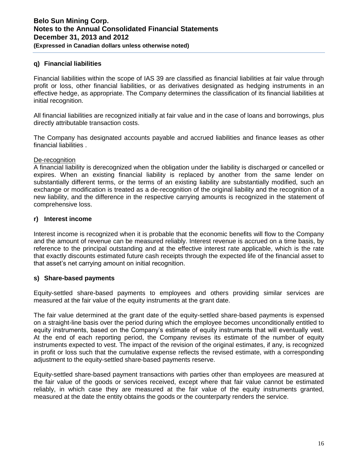## **q) Financial liabilities**

Financial liabilities within the scope of IAS 39 are classified as financial liabilities at fair value through profit or loss, other financial liabilities, or as derivatives designated as hedging instruments in an effective hedge, as appropriate. The Company determines the classification of its financial liabilities at initial recognition.

All financial liabilities are recognized initially at fair value and in the case of loans and borrowings, plus directly attributable transaction costs.

The Company has designated accounts payable and accrued liabilities and finance leases as other financial liabilities .

#### De-recognition

A financial liability is derecognized when the obligation under the liability is discharged or cancelled or expires. When an existing financial liability is replaced by another from the same lender on substantially different terms, or the terms of an existing liability are substantially modified, such an exchange or modification is treated as a de-recognition of the original liability and the recognition of a new liability, and the difference in the respective carrying amounts is recognized in the statement of comprehensive loss.

#### **r) Interest income**

Interest income is recognized when it is probable that the economic benefits will flow to the Company and the amount of revenue can be measured reliably. Interest revenue is accrued on a time basis, by reference to the principal outstanding and at the effective interest rate applicable, which is the rate that exactly discounts estimated future cash receipts through the expected life of the financial asset to that asset's net carrying amount on initial recognition.

#### **s) Share-based payments**

Equity-settled share-based payments to employees and others providing similar services are measured at the fair value of the equity instruments at the grant date.

The fair value determined at the grant date of the equity-settled share-based payments is expensed on a straight-line basis over the period during which the employee becomes unconditionally entitled to equity instruments, based on the Company's estimate of equity instruments that will eventually vest. At the end of each reporting period, the Company revises its estimate of the number of equity instruments expected to vest. The impact of the revision of the original estimates, if any, is recognized in profit or loss such that the cumulative expense reflects the revised estimate, with a corresponding adjustment to the equity-settled share-based payments reserve.

Equity-settled share-based payment transactions with parties other than employees are measured at the fair value of the goods or services received, except where that fair value cannot be estimated reliably, in which case they are measured at the fair value of the equity instruments granted, measured at the date the entity obtains the goods or the counterparty renders the service.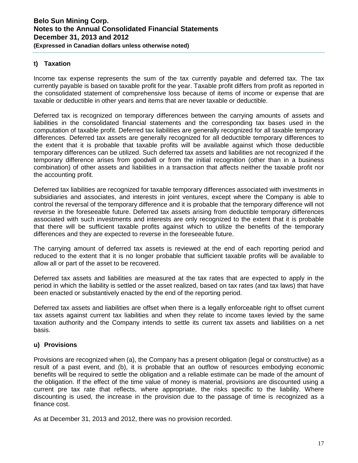## **t) Taxation**

Income tax expense represents the sum of the tax currently payable and deferred tax. The tax currently payable is based on taxable profit for the year. Taxable profit differs from profit as reported in the consolidated statement of comprehensive loss because of items of income or expense that are taxable or deductible in other years and items that are never taxable or deductible.

Deferred tax is recognized on temporary differences between the carrying amounts of assets and liabilities in the consolidated financial statements and the corresponding tax bases used in the computation of taxable profit. Deferred tax liabilities are generally recognized for all taxable temporary differences. Deferred tax assets are generally recognized for all deductible temporary differences to the extent that it is probable that taxable profits will be available against which those deductible temporary differences can be utilized. Such deferred tax assets and liabilities are not recognized if the temporary difference arises from goodwill or from the initial recognition (other than in a business combination) of other assets and liabilities in a transaction that affects neither the taxable profit nor the accounting profit.

Deferred tax liabilities are recognized for taxable temporary differences associated with investments in subsidiaries and associates, and interests in joint ventures, except where the Company is able to control the reversal of the temporary difference and it is probable that the temporary difference will not reverse in the foreseeable future. Deferred tax assets arising from deductible temporary differences associated with such investments and interests are only recognized to the extent that it is probable that there will be sufficient taxable profits against which to utilize the benefits of the temporary differences and they are expected to reverse in the foreseeable future.

The carrying amount of deferred tax assets is reviewed at the end of each reporting period and reduced to the extent that it is no longer probable that sufficient taxable profits will be available to allow all or part of the asset to be recovered.

Deferred tax assets and liabilities are measured at the tax rates that are expected to apply in the period in which the liability is settled or the asset realized, based on tax rates (and tax laws) that have been enacted or substantively enacted by the end of the reporting period.

Deferred tax assets and liabilities are offset when there is a legally enforceable right to offset current tax assets against current tax liabilities and when they relate to income taxes levied by the same taxation authority and the Company intends to settle its current tax assets and liabilities on a net basis.

## **u) Provisions**

Provisions are recognized when (a), the Company has a present obligation (legal or constructive) as a result of a past event, and (b), it is probable that an outflow of resources embodying economic benefits will be required to settle the obligation and a reliable estimate can be made of the amount of the obligation. If the effect of the time value of money is material, provisions are discounted using a current pre tax rate that reflects, where appropriate, the risks specific to the liability. Where discounting is used, the increase in the provision due to the passage of time is recognized as a finance cost.

As at December 31, 2013 and 2012, there was no provision recorded.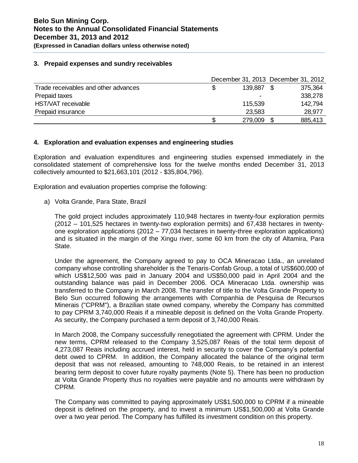## **3. Prepaid expenses and sundry receivables**

|                                      |         | December 31, 2013 December 31, 2012 |         |
|--------------------------------------|---------|-------------------------------------|---------|
| Trade receivables and other advances | 139.887 |                                     | 375,364 |
| Prepaid taxes                        |         |                                     | 338,278 |
| HST/VAT receivable                   | 115,539 |                                     | 142,794 |
| Prepaid insurance                    | 23,583  |                                     | 28,977  |
|                                      | 279,009 |                                     | 885,413 |

## **4. Exploration and evaluation expenses and engineering studies**

Exploration and evaluation expenditures and engineering studies expensed immediately in the consolidated statement of comprehensive loss for the twelve months ended December 31, 2013 collectively amounted to \$21,663,101 (2012 - \$35,804,796).

Exploration and evaluation properties comprise the following:

a) Volta Grande, Para State, Brazil

The gold project includes approximately 110,948 hectares in twenty-four exploration permits (2012 – 101,525 hectares in twenty-two exploration permits) and 67,438 hectares in twentyone exploration applications (2012 – 77,034 hectares in twenty-three exploration applications) and is situated in the margin of the Xingu river, some 60 km from the city of Altamira, Para State.

Under the agreement, the Company agreed to pay to OCA Mineracao Ltda., an unrelated company whose controlling shareholder is the Tenaris-Confab Group, a total of US\$600,000 of which US\$12,500 was paid in January 2004 and US\$50,000 paid in April 2004 and the outstanding balance was paid in December 2006. OCA Mineracao Ltda. ownership was transferred to the Company in March 2008. The transfer of title to the Volta Grande Property to Belo Sun occurred following the arrangements with Companhia de Pesquisa de Recursos Minerais ("CPRM"), a Brazilian state owned company, whereby the Company has committed to pay CPRM 3,740,000 Reais if a mineable deposit is defined on the Volta Grande Property. As security, the Company purchased a term deposit of 3,740,000 Reais.

In March 2008, the Company successfully renegotiated the agreement with CPRM. Under the new terms, CPRM released to the Company 3,525,087 Reais of the total term deposit of 4,273,087 Reais including accrued interest, held in security to cover the Company's potential debt owed to CPRM. In addition, the Company allocated the balance of the original term deposit that was not released, amounting to 748,000 Reais, to be retained in an interest bearing term deposit to cover future royalty payments (Note 5). There has been no production at Volta Grande Property thus no royalties were payable and no amounts were withdrawn by CPRM.

The Company was committed to paying approximately US\$1,500,000 to CPRM if a mineable deposit is defined on the property, and to invest a minimum US\$1,500,000 at Volta Grande over a two year period. The Company has fulfilled its investment condition on this property.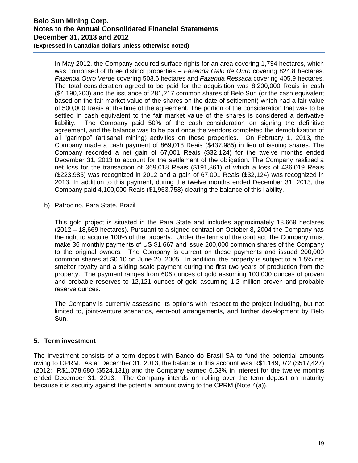**(Expressed in Canadian dollars unless otherwise noted)** 

In May 2012, the Company acquired surface rights for an area covering 1,734 hectares, which was comprised of three distinct properties – *Fazenda Galo de Ouro* covering 824.8 hectares, *Fazenda Ouro Verd*e covering 503.6 hectares and *Fazenda Ressaca* covering 405.9 hectares. The total consideration agreed to be paid for the acquisition was 8,200,000 Reais in cash (\$4,190,200) and the issuance of 281,217 common shares of Belo Sun (or the cash equivalent based on the fair market value of the shares on the date of settlement) which had a fair value of 500,000 Reais at the time of the agreement. The portion of the consideration that was to be settled in cash equivalent to the fair market value of the shares is considered a derivative liability. The Company paid 50% of the cash consideration on signing the definitive agreement, and the balance was to be paid once the vendors completed the demobilization of all "garimpo" (artisanal mining) activities on these properties. On February 1, 2013, the Company made a cash payment of 869,018 Reais (\$437,985) in lieu of issuing shares. The Company recorded a net gain of 67,001 Reais (\$32,124) for the twelve months ended December 31, 2013 to account for the settlement of the obligation. The Company realized a net loss for the transaction of 369,018 Reais (\$191,861) of which a loss of 436,019 Reais (\$223,985) was recognized in 2012 and a gain of 67,001 Reais (\$32,124) was recognized in 2013. In addition to this payment, during the twelve months ended December 31, 2013, the Company paid 4,100,000 Reais (\$1,953,758) clearing the balance of this liability.

b) Patrocino, Para State, Brazil

This gold project is situated in the Para State and includes approximately 18,669 hectares (2012 – 18,669 hectares). Pursuant to a signed contract on October 8, 2004 the Company has the right to acquire 100% of the property. Under the terms of the contract, the Company must make 36 monthly payments of US \$1,667 and issue 200,000 common shares of the Company to the original owners. The Company is current on these payments and issued 200,000 common shares at \$0.10 on June 20, 2005. In addition, the property is subject to a 1.5% net smelter royalty and a sliding scale payment during the first two years of production from the property. The payment ranges from 606 ounces of gold assuming 100,000 ounces of proven and probable reserves to 12,121 ounces of gold assuming 1.2 million proven and probable reserve ounces.

The Company is currently assessing its options with respect to the project including, but not limited to, joint-venture scenarios, earn-out arrangements, and further development by Belo Sun.

## **5. Term investment**

The investment consists of a term deposit with Banco do Brasil SA to fund the potential amounts owing to CPRM. As at December 31, 2013, the balance in this account was R\$1,149,072 (\$517,427) (2012: R\$1,078,680 (\$524,131)) and the Company earned 6.53% in interest for the twelve months ended December 31, 2013. The Company intends on rolling over the term deposit on maturity because it is security against the potential amount owing to the CPRM (Note 4(a)).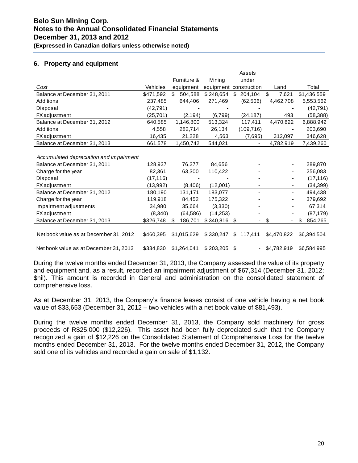## **6. Property and equipment**

|                                         |                 |               |               | Assets                 |                          |               |
|-----------------------------------------|-----------------|---------------|---------------|------------------------|--------------------------|---------------|
|                                         |                 | Furniture &   | Mining        | under                  |                          |               |
| Cost                                    | <b>Vehicles</b> | equipment     |               | equipment construction | Land                     | Total         |
| Balance at December 31, 2011            | \$471,592       | 504,588<br>\$ | \$248,654     | \$<br>204,104          | \$<br>7,621              | \$1,436,559   |
| Additions                               | 237,485         | 644,406       | 271,469       | (62, 506)              | 4,462,708                | 5,553,562     |
| Disposal                                | (42, 791)       |               |               |                        |                          | (42, 791)     |
| <b>FX</b> adjustment                    | (25, 701)       | (2, 194)      | (6,799)       | (24,187)               | 493                      | (58, 388)     |
| Balance at December 31, 2012            | 640,585         | 1,146,800     | 513,324       | 117,411                | 4,470,822                | 6,888,942     |
| Additions                               | 4,558           | 282,714       | 26,134        | (109, 716)             |                          | 203,690       |
| <b>FX</b> adjustment                    | 16,435          | 21,228        | 4,563         | (7,695)                | 312,097                  | 346,628       |
| Balance at December 31, 2013            | 661,578         | 1,450,742     | 544,021       |                        | 4,782,919                | 7,439,260     |
|                                         |                 |               |               |                        |                          |               |
| Accumulated depreciation and impairment |                 |               |               |                        |                          |               |
| Balance at December 31, 2011            | 128,937         | 76,277        | 84,656        |                        | ۰                        | 289,870       |
| Charge for the year                     | 82,361          | 63,300        | 110,422       |                        | $\overline{\phantom{0}}$ | 256,083       |
| Disposal                                | (17, 116)       |               |               |                        | $\overline{\phantom{0}}$ | (17, 116)     |
| <b>FX</b> adjustment                    | (13,992)        | (8,406)       | (12,001)      |                        | ۰                        | (34, 399)     |
| Balance at December 31, 2012            | 180,190         | 131,171       | 183,077       |                        | $\blacksquare$           | 494,438       |
| Charge for the year                     | 119,918         | 84,452        | 175,322       |                        |                          | 379,692       |
| Impairment adjustments                  | 34,980          | 35,664        | (3,330)       |                        |                          | 67,314        |
| <b>FX</b> adjustment                    | (8,340)         | (64, 586)     | (14, 253)     |                        |                          | (87, 179)     |
| Balance at December 31, 2013            | \$326,748       | \$<br>186,701 | $$340,816$ \$ | ٠                      | \$                       | \$<br>854,265 |
|                                         |                 |               |               |                        |                          |               |
| Net book value as at December 31, 2012  | \$460,395       | \$1,015,629   | \$330,247     | \$<br>117.411          | \$4,470,822              | \$6,394,504   |
|                                         |                 |               |               |                        |                          |               |
| Net book value as at December 31, 2013  | \$334,830       | \$1,264,041   | \$203,205     | S                      | \$4,782,919              | \$6,584,995   |

During the twelve months ended December 31, 2013, the Company assessed the value of its property and equipment and, as a result, recorded an impairment adjustment of \$67,314 (December 31, 2012: \$nil). This amount is recorded in General and administration on the consolidated statement of comprehensive loss.

As at December 31, 2013, the Company's finance leases consist of one vehicle having a net book value of \$33,653 (December 31, 2012 – two vehicles with a net book value of \$81,493).

During the twelve months ended December 31, 2013, the Company sold machinery for gross proceeds of R\$25,000 (\$12,226). This asset had been fully depreciated such that the Company recognized a gain of \$12,226 on the Consolidated Statement of Comprehensive Loss for the twelve months ended December 31, 2013. For the twelve months ended December 31, 2012, the Company sold one of its vehicles and recorded a gain on sale of \$1,132.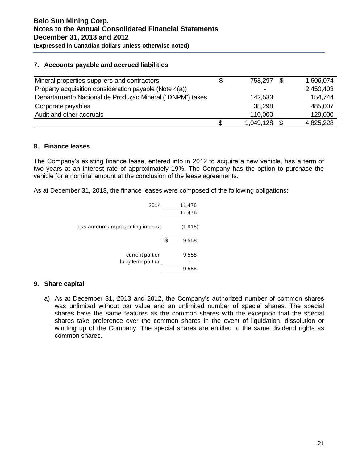## **7. Accounts payable and accrued liabilities**

| Mineral properties suppliers and contractors             | \$<br>758.297 | 1,606,074 |
|----------------------------------------------------------|---------------|-----------|
| Property acquisition consideration payable (Note 4(a))   |               | 2,450,403 |
| Departamento Nacional de Produção Mineral ("DNPM") taxes | 142,533       | 154.744   |
| Corporate payables                                       | 38,298        | 485,007   |
| Audit and other accruals                                 | 110,000       | 129,000   |
|                                                          | 1,049,128     | 4,825,228 |

## **8. Finance leases**

The Company's existing finance lease, entered into in 2012 to acquire a new vehicle, has a term of two years at an interest rate of approximately 19%. The Company has the option to purchase the vehicle for a nominal amount at the conclusion of the lease agreements.

As at December 31, 2013, the finance leases were composed of the following obligations:

| 2014                                 | 11,476  |
|--------------------------------------|---------|
|                                      | 11,476  |
| less amounts representing interest   | (1,918) |
|                                      | 9,558   |
| current portion<br>long term portion | 9,558   |
|                                      | 9,558   |

## **9. Share capital**

a) As at December 31, 2013 and 2012, the Company's authorized number of common shares was unlimited without par value and an unlimited number of special shares. The special shares have the same features as the common shares with the exception that the special shares take preference over the common shares in the event of liquidation, dissolution or winding up of the Company. The special shares are entitled to the same dividend rights as common shares.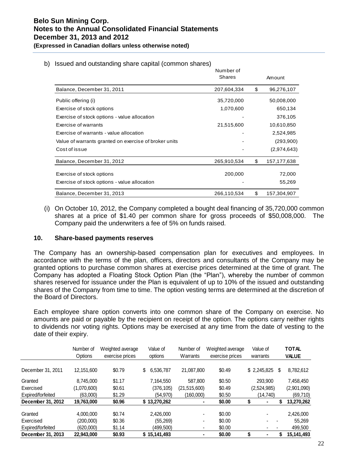**(Expressed in Canadian dollars unless otherwise noted)** 

|                                                       | Number of<br><b>Shares</b> | Amount            |
|-------------------------------------------------------|----------------------------|-------------------|
| Balance, December 31, 2011                            | 207,604,334                | \$<br>96,276,107  |
| Public offering (i)                                   | 35,720,000                 | 50,008,000        |
| Exercise of stock options                             | 1,070,600                  | 650,134           |
| Exercise of stock options - value allocation          |                            | 376,105           |
| Exercise of warrants                                  | 21,515,600                 | 10,610,850        |
| Exercise of warrants - value allocation               |                            | 2,524,985         |
| Value of warrants granted on exercise of broker units |                            | (293,900)         |
| Cost of issue                                         |                            | (2,974,643)       |
| Balance, December 31, 2012                            | 265,910,534                | \$<br>157,177,638 |
| Exercise of stock options                             | 200,000                    | 72,000            |
| Exercise of stock options - value allocation          |                            | 55,269            |
| Balance, December 31, 2013                            | 266,110,534                | \$<br>157,304,907 |

b) Issued and outstanding share capital (common shares)

(i) On October 10, 2012, the Company completed a bought deal financing of 35,720,000 common shares at a price of \$1.40 per common share for gross proceeds of \$50,008,000. The Company paid the underwriters a fee of 5% on funds raised.

## **10. Share-based payments reserves**

The Company has an ownership-based compensation plan for executives and employees. In accordance with the terms of the plan, officers, directors and consultants of the Company may be granted options to purchase common shares at exercise prices determined at the time of grant. The Company has adopted a Floating Stock Option Plan (the "Plan"), whereby the number of common shares reserved for issuance under the Plan is equivalent of up to 10% of the issued and outstanding shares of the Company from time to time. The option vesting terms are determined at the discretion of the Board of Directors.

Each employee share option converts into one common share of the Company on exercise. No amounts are paid or payable by the recipient on receipt of the option. The options carry neither rights to dividends nor voting rights. Options may be exercised at any time from the date of vesting to the date of their expiry.

|                   | Number of<br>Options | Weighted average<br>exercise prices | Value of<br>options | Number of<br>Warrants | Weighted average<br>exercise prices | Value of<br>warrants |    | <b>TOTAL</b><br><b>VALUE</b> |
|-------------------|----------------------|-------------------------------------|---------------------|-----------------------|-------------------------------------|----------------------|----|------------------------------|
| December 31, 2011 | 12,151,600           | \$0.79                              | 6,536,787<br>S      | 21,087,800            | \$0.49                              | \$2,245,825          | \$ | 8,782,612                    |
| Granted           | 8.745.000            | \$1.17                              | 7.164.550           | 587,800               | \$0.50                              | 293,900              |    | 7,458,450                    |
| Exercised         | (1,070,600)          | \$0.61                              | (376, 105)          | (21,515,600)          | \$0.49                              | (2,524,985)          |    | (2,901,090)                  |
| Expired/forfeited | (63,000)             | \$1.29                              | (54.970)            | (160.000)             | \$0.50                              | (14,740)             |    | (69, 710)                    |
| December 31, 2012 | 19.763.000           | \$0.96                              | \$13,270,262        |                       | \$0.00                              | \$                   | S  | 13,270,262                   |
| Granted           | 4.000.000            | \$0.74                              | 2,426,000           |                       | \$0.00                              |                      |    | 2,426,000                    |
| Exercised         | (200,000)            | \$0.36                              | (55, 269)           |                       | \$0.00                              |                      |    | 55.269                       |
| Expired/forfeited | (620.000)            | \$1.14                              | (499.500)           | -                     | \$0.00                              |                      |    | 499,500                      |
| December 31, 2013 | 22.943.000           | \$0.93                              | \$15.141.493        |                       | \$0.00                              | \$                   | S  | 15.141.493                   |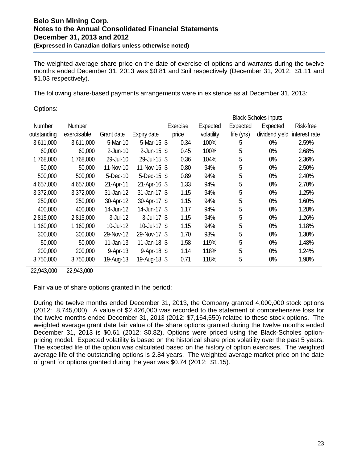## **Belo Sun Mining Corp. Notes to the Annual Consolidated Financial Statements December 31, 2013 and 2012 (Expressed in Canadian dollars unless otherwise noted)**

The weighted average share price on the date of exercise of options and warrants during the twelve months ended December 31, 2013 was \$0.81 and \$nil respectively (December 31, 2012: \$1.11 and \$1.03 respectively).

The following share-based payments arrangements were in existence as at December 31, 2013:

| Options:    |               |              |              |          |            |            |                             |               |
|-------------|---------------|--------------|--------------|----------|------------|------------|-----------------------------|---------------|
|             |               |              |              |          |            |            | <b>Black-Scholes inputs</b> |               |
| Number      | <b>Number</b> |              |              | Exercise | Expected   | Expected   | Expected                    | Risk-free     |
| outstanding | exercisable   | Grant date   | Expiry date  | price    | volatility | life (yrs) | dividend yield              | interest rate |
| 3,611,000   | 3,611,000     | 5-Mar-10     | 5-Mar-15 \$  | 0.34     | 100%       | 5          | 0%                          | 2.59%         |
| 60,000      | 60,000        | $2$ -Jun-10  | 2-Jun-15 \$  | 0.45     | 100%       | 5          | $0\%$                       | 2.68%         |
| 1,768,000   | 1,768,000     | 29-Jul-10    | 29-Jul-15 \$ | 0.36     | 104%       | 5          | $0\%$                       | 2.36%         |
| 50,000      | 50,000        | 11-Nov-10    | 11-Nov-15 \$ | 0.80     | 94%        | 5          | $0\%$                       | 2.50%         |
| 500,000     | 500,000       | 5-Dec-10     | 5-Dec-15 \$  | 0.89     | 94%        | 5          | $0\%$                       | 2.40%         |
| 4,657,000   | 4,657,000     | 21-Apr-11    | 21-Apr-16 \$ | 1.33     | 94%        | 5          | $0\%$                       | 2.70%         |
| 3,372,000   | 3,372,000     | 31-Jan-12    | 31-Jan-17 \$ | 1.15     | 94%        | 5          | $0\%$                       | 1.25%         |
| 250,000     | 250,000       | 30-Apr-12    | 30-Apr-17 \$ | 1.15     | 94%        | 5          | 0%                          | 1.60%         |
| 400,000     | 400,000       | 14-Jun-12    | 14-Jun-17 \$ | 1.17     | 94%        | 5          | $0\%$                       | 1.28%         |
| 2,815,000   | 2,815,000     | 3-Jul-12     | 3-Jul-17 \$  | 1.15     | 94%        | 5          | $0\%$                       | 1.26%         |
| 1,160,000   | 1,160,000     | 10-Jul-12    | 10-Jul-17 \$ | 1.15     | 94%        | 5          | $0\%$                       | 1.18%         |
| 300,000     | 300,000       | 29-Nov-12    | 29-Nov-17 \$ | 1.70     | 93%        | 5          | $0\%$                       | 1.30%         |
| 50,000      | 50,000        | $11$ -Jan-13 | 11-Jan-18 \$ | 1.58     | 119%       | 5          | $0\%$                       | 1.48%         |
| 200,000     | 200,000       | 9-Apr-13     | 9-Apr-18 \$  | 1.14     | 118%       | 5          | 0%                          | 1.24%         |
| 3,750,000   | 3,750,000     | 19-Aug-13    | 19-Aug-18 \$ | 0.71     | 118%       | 5          | $0\%$                       | 1.98%         |
| 22,943,000  | 22,943,000    |              |              |          |            |            |                             |               |

Fair value of share options granted in the period:

During the twelve months ended December 31, 2013, the Company granted 4,000,000 stock options (2012: 8,745,000). A value of \$2,426,000 was recorded to the statement of comprehensive loss for the twelve months ended December 31, 2013 (2012: \$7,164,550) related to these stock options. The weighted average grant date fair value of the share options granted during the twelve months ended December 31, 2013 is \$0.61 (2012: \$0.82). Options were priced using the Black-Scholes optionpricing model. Expected volatility is based on the historical share price volatility over the past 5 years. The expected life of the option was calculated based on the history of option exercises. The weighted average life of the outstanding options is 2.84 years. The weighted average market price on the date of grant for options granted during the year was \$0.74 (2012: \$1.15).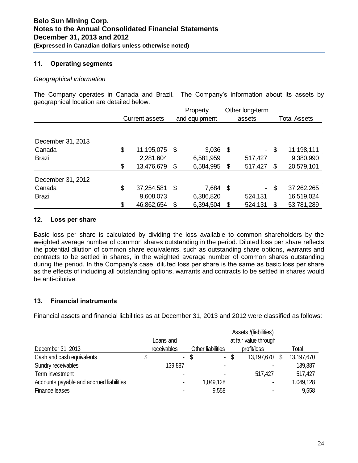## **11. Operating segments**

### *Geographical information*

The Company operates in Canada and Brazil. The Company's information about its assets by geographical location are detailed below.

|                   |                       |    | Property      |        | Other long-term |                     |            |
|-------------------|-----------------------|----|---------------|--------|-----------------|---------------------|------------|
|                   | <b>Current assets</b> |    | and equipment | assets |                 | <b>Total Assets</b> |            |
|                   |                       |    |               |        |                 |                     |            |
| December 31, 2013 |                       |    |               |        |                 |                     |            |
| Canada            | \$<br>11,195,075      | \$ | 3,036         | - \$   | $\sim$          | \$                  | 11,198,111 |
| <b>Brazil</b>     | 2,281,604             |    | 6,581,959     |        | 517,427         |                     | 9,380,990  |
|                   | \$<br>13,476,679      | \$ | 6,584,995     | \$     | 517,427         | \$                  | 20,579,101 |
| December 31, 2012 |                       |    |               |        |                 |                     |            |
| Canada            | \$<br>37,254,581      | \$ | 7,684         | - \$   | $\sim$          | \$                  | 37,262,265 |
| <b>Brazil</b>     | 9,608,073             |    | 6,386,820     |        | 524,131         |                     | 16,519,024 |
|                   | \$<br>46,862,654      | \$ | 6,394,504     | \$     | 524,131         | \$                  | 53,781,289 |

## **12. Loss per share**

Basic loss per share is calculated by dividing the loss available to common shareholders by the weighted average number of common shares outstanding in the period. Diluted loss per share reflects the potential dilution of common share equivalents, such as outstanding share options, warrants and contracts to be settled in shares, in the weighted average number of common shares outstanding during the period. In the Company's case, diluted loss per share is the same as basic loss per share as the effects of including all outstanding options, warrants and contracts to be settled in shares would be anti-dilutive.

## **13. Financial instruments**

Financial assets and financial liabilities as at December 31, 2013 and 2012 were classified as follows:

|                                          |                |                   | Assets /(liabilities) |                    |            |
|------------------------------------------|----------------|-------------------|-----------------------|--------------------|------------|
|                                          | Loans and      |                   | at fair value through |                    |            |
| December 31, 2013                        | receivables    | Other liabilities | profit/loss           |                    | Total      |
| Cash and cash equivalents                | $\blacksquare$ | - \$<br>$\sim$    | S                     | 13,197,670<br>- \$ | 13,197,670 |
| Sundry receivables                       | 139,887        |                   |                       |                    | 139,887    |
| Term investment                          |                |                   |                       | 517,427            | 517,427    |
| Accounts payable and accrued liabilities | ۰              | 1,049,128         |                       |                    | 1,049,128  |
| Finance leases                           |                | 9,558             |                       |                    | 9,558      |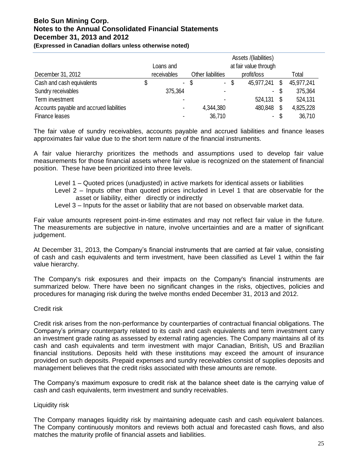**(Expressed in Canadian dollars unless otherwise noted)** 

|                                          |             |                   | Assets /(liabilities)    |      |            |
|------------------------------------------|-------------|-------------------|--------------------------|------|------------|
|                                          | Loans and   |                   | at fair value through    |      |            |
| December 31, 2012                        | receivables | Other liabilities | profit/loss              |      | Total      |
| Cash and cash equivalents                | ÷.          | - \$              | - \$<br>45,977,241       | S    | 45,977,241 |
| Sundry receivables                       | 375,364     |                   | $\overline{\phantom{0}}$ | S    | 375,364    |
| Term investment                          |             |                   | 524,131                  | S    | 524,131    |
| Accounts payable and accrued liabilities |             | 4,344,380         | 480,848                  | \$   | 4,825,228  |
| Finance leases                           |             | 36,710            |                          | - \$ | 36,710     |

The fair value of sundry receivables, accounts payable and accrued liabilities and finance leases approximates fair value due to the short term nature of the financial instruments.

A fair value hierarchy prioritizes the methods and assumptions used to develop fair value measurements for those financial assets where fair value is recognized on the statement of financial position. These have been prioritized into three levels.

Level 1 – Quoted prices (unadjusted) in active markets for identical assets or liabilities

- Level 2 Inputs other than quoted prices included in Level 1 that are observable for the asset or liability, either directly or indirectly
- Level 3 Inputs for the asset or liability that are not based on observable market data.

Fair value amounts represent point-in-time estimates and may not reflect fair value in the future. The measurements are subjective in nature, involve uncertainties and are a matter of significant judgement.

At December 31, 2013, the Company's financial instruments that are carried at fair value, consisting of cash and cash equivalents and term investment, have been classified as Level 1 within the fair value hierarchy.

The Company's risk exposures and their impacts on the Company's financial instruments are summarized below. There have been no significant changes in the risks, objectives, policies and procedures for managing risk during the twelve months ended December 31, 2013 and 2012.

#### Credit risk

Credit risk arises from the non-performance by counterparties of contractual financial obligations. The Company's primary counterparty related to its cash and cash equivalents and term investment carry an investment grade rating as assessed by external rating agencies. The Company maintains all of its cash and cash equivalents and term investment with major Canadian, British, US and Brazilian financial institutions. Deposits held with these institutions may exceed the amount of insurance provided on such deposits. Prepaid expenses and sundry receivables consist of supplies deposits and management believes that the credit risks associated with these amounts are remote.

The Company's maximum exposure to credit risk at the balance sheet date is the carrying value of cash and cash equivalents, term investment and sundry receivables.

#### Liquidity risk

The Company manages liquidity risk by maintaining adequate cash and cash equivalent balances. The Company continuously monitors and reviews both actual and forecasted cash flows, and also matches the maturity profile of financial assets and liabilities.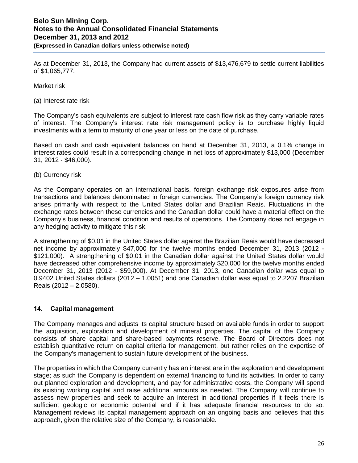**(Expressed in Canadian dollars unless otherwise noted)** 

As at December 31, 2013, the Company had current assets of \$13,476,679 to settle current liabilities of \$1,065,777.

Market risk

(a) Interest rate risk

The Company's cash equivalents are subject to interest rate cash flow risk as they carry variable rates of interest. The Company's interest rate risk management policy is to purchase highly liquid investments with a term to maturity of one year or less on the date of purchase.

Based on cash and cash equivalent balances on hand at December 31, 2013, a 0.1% change in interest rates could result in a corresponding change in net loss of approximately \$13,000 (December 31, 2012 - \$46,000).

(b) Currency risk

As the Company operates on an international basis, foreign exchange risk exposures arise from transactions and balances denominated in foreign currencies. The Company's foreign currency risk arises primarily with respect to the United States dollar and Brazilian Reais. Fluctuations in the exchange rates between these currencies and the Canadian dollar could have a material effect on the Company's business, financial condition and results of operations. The Company does not engage in any hedging activity to mitigate this risk.

A strengthening of \$0.01 in the United States dollar against the Brazilian Reais would have decreased net income by approximately \$47,000 for the twelve months ended December 31, 2013 (2012 - \$121,000). A strengthening of \$0.01 in the Canadian dollar against the United States dollar would have decreased other comprehensive income by approximately \$20,000 for the twelve months ended December 31, 2013 (2012 - \$59,000). At December 31, 2013, one Canadian dollar was equal to 0.9402 United States dollars (2012 – 1.0051) and one Canadian dollar was equal to 2.2207 Brazilian Reais (2012 – 2.0580).

#### **14. Capital management**

The Company manages and adjusts its capital structure based on available funds in order to support the acquisition, exploration and development of mineral properties. The capital of the Company consists of share capital and share-based payments reserve. The Board of Directors does not establish quantitative return on capital criteria for management, but rather relies on the expertise of the Company's management to sustain future development of the business.

The properties in which the Company currently has an interest are in the exploration and development stage; as such the Company is dependent on external financing to fund its activities. In order to carry out planned exploration and development, and pay for administrative costs, the Company will spend its existing working capital and raise additional amounts as needed. The Company will continue to assess new properties and seek to acquire an interest in additional properties if it feels there is sufficient geologic or economic potential and if it has adequate financial resources to do so. Management reviews its capital management approach on an ongoing basis and believes that this approach, given the relative size of the Company, is reasonable.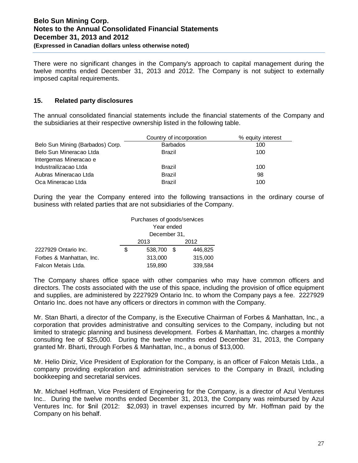**(Expressed in Canadian dollars unless otherwise noted)** 

There were no significant changes in the Company's approach to capital management during the twelve months ended December 31, 2013 and 2012. The Company is not subject to externally imposed capital requirements.

## **15. Related party disclosures**

The annual consolidated financial statements include the financial statements of the Company and the subsidiaries at their respective ownership listed in the following table.

|                                  | Country of incorporation | % equity interest |
|----------------------------------|--------------------------|-------------------|
| Belo Sun Mining (Barbados) Corp. | <b>Barbados</b>          | 100               |
| Belo Sun Mineracao Ltda          | Brazil                   | 100               |
| Intergemas Mineracao e           |                          |                   |
| Industrailizacao Ltda            | Brazil                   | 100               |
| Aubras Mineracao Ltda            | Brazil                   | 98                |
| Oca Mineracao Ltda               | Brazil                   | 100               |

During the year the Company entered into the following transactions in the ordinary course of business with related parties that are not subsidiaries of the Company.

|                          |   | Purchases of goods/services |      |         |  |  |
|--------------------------|---|-----------------------------|------|---------|--|--|
|                          |   | Year ended                  |      |         |  |  |
|                          |   | December 31,                |      |         |  |  |
|                          |   | 2012<br>2013                |      |         |  |  |
| 2227929 Ontario Inc.     | S | 538,700                     | - \$ | 446,825 |  |  |
| Forbes & Manhattan, Inc. |   | 313,000                     |      | 315,000 |  |  |
| Falcon Metais Ltda.      |   | 159,890                     |      | 339,584 |  |  |

The Company shares office space with other companies who may have common officers and directors. The costs associated with the use of this space, including the provision of office equipment and supplies, are administered by 2227929 Ontario Inc. to whom the Company pays a fee. 2227929 Ontario Inc. does not have any officers or directors in common with the Company.

Mr. Stan Bharti, a director of the Company, is the Executive Chairman of Forbes & Manhattan, Inc., a corporation that provides administrative and consulting services to the Company, including but not limited to strategic planning and business development. Forbes & Manhattan, Inc. charges a monthly consulting fee of \$25,000. During the twelve months ended December 31, 2013, the Company granted Mr. Bharti, through Forbes & Manhattan, Inc., a bonus of \$13,000.

Mr. Helio Diniz, Vice President of Exploration for the Company, is an officer of Falcon Metais Ltda., a company providing exploration and administration services to the Company in Brazil, including bookkeeping and secretarial services.

Mr. Michael Hoffman, Vice President of Engineering for the Company, is a director of Azul Ventures Inc.. During the twelve months ended December 31, 2013, the Company was reimbursed by Azul Ventures Inc. for \$nil (2012: \$2,093) in travel expenses incurred by Mr. Hoffman paid by the Company on his behalf.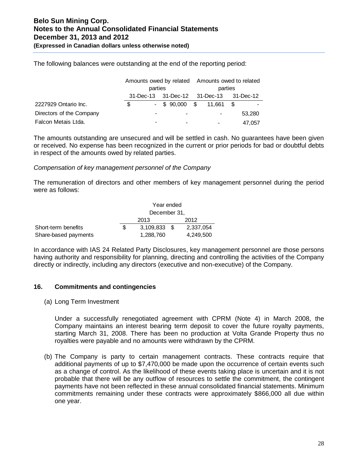The following balances were outstanding at the end of the reporting period:

|                          | Amounts owed by related Amounts owed to related |      |                                         |        |      |        |
|--------------------------|-------------------------------------------------|------|-----------------------------------------|--------|------|--------|
|                          | parties                                         |      | parties                                 |        |      |        |
|                          |                                                 |      | 31-Dec-13 31-Dec-12 31-Dec-13 31-Dec-12 |        |      |        |
| 2227929 Ontario Inc.     | S                                               |      | $-$ \$ 90,000 \$                        | 11.661 | - \$ |        |
| Directors of the Company |                                                 | $\,$ | $\blacksquare$                          | -      |      | 53,280 |
| Falcon Metais Ltda.      |                                                 | $\,$ | $\,$                                    |        |      | 47,057 |

The amounts outstanding are unsecured and will be settled in cash. No guarantees have been given or received. No expense has been recognized in the current or prior periods for bad or doubtful debts in respect of the amounts owed by related parties.

### *Compensation of key management personnel of the Company*

The remuneration of directors and other members of key management personnel during the period were as follows:

|                      | Year ended   |                |  |           |  |
|----------------------|--------------|----------------|--|-----------|--|
|                      | December 31, |                |  |           |  |
|                      |              | 2013           |  | 2012      |  |
| Short-term benefits  |              | $3,109,833$ \$ |  | 2.337.054 |  |
| Share-based payments |              | 1,288,760      |  | 4,249,500 |  |

In accordance with IAS 24 Related Party Disclosures, key management personnel are those persons having authority and responsibility for planning, directing and controlling the activities of the Company directly or indirectly, including any directors (executive and non-executive) of the Company.

## **16. Commitments and contingencies**

(a) Long Term Investment

Under a successfully renegotiated agreement with CPRM (Note 4) in March 2008, the Company maintains an interest bearing term deposit to cover the future royalty payments, starting March 31, 2008. There has been no production at Volta Grande Property thus no royalties were payable and no amounts were withdrawn by the CPRM.

(b) The Company is party to certain management contracts. These contracts require that additional payments of up to \$7,470,000 be made upon the occurrence of certain events such as a change of control. As the likelihood of these events taking place is uncertain and it is not probable that there will be any outflow of resources to settle the commitment, the contingent payments have not been reflected in these annual consolidated financial statements. Minimum commitments remaining under these contracts were approximately \$866,000 all due within one year.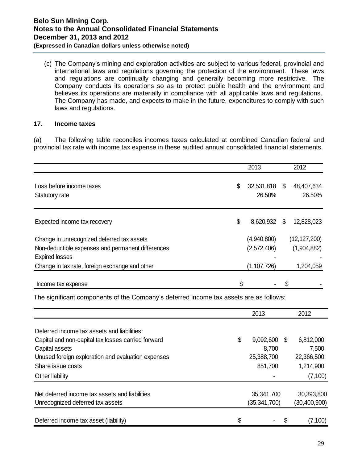**(Expressed in Canadian dollars unless otherwise noted)** 

(c) The Company's mining and exploration activities are subject to various federal, provincial and international laws and regulations governing the protection of the environment. These laws and regulations are continually changing and generally becoming more restrictive. The Company conducts its operations so as to protect public health and the environment and believes its operations are materially in compliance with all applicable laws and regulations. The Company has made, and expects to make in the future, expenditures to comply with such laws and regulations.

### **17. Income taxes**

(a) The following table reconciles incomes taxes calculated at combined Canadian federal and provincial tax rate with income tax expense in these audited annual consolidated financial statements.

|                                                                                                                                                                            | 2013                                        | 2012                                       |
|----------------------------------------------------------------------------------------------------------------------------------------------------------------------------|---------------------------------------------|--------------------------------------------|
| Loss before income taxes<br>Statutory rate                                                                                                                                 | \$<br>32,531,818<br>26.50%                  | 48,407,634<br>S.<br>26.50%                 |
| Expected income tax recovery                                                                                                                                               | \$<br>8,620,932                             | 12,828,023<br>\$                           |
| Change in unrecognized deferred tax assets<br>Non-deductible expenses and permanent differences<br><b>Expired losses</b><br>Change in tax rate, foreign exchange and other | (4,940,800)<br>(2,572,406)<br>(1, 107, 726) | (12, 127, 200)<br>(1,904,882)<br>1,204,059 |
| Income tax expense                                                                                                                                                         | \$                                          |                                            |

The significant components of the Company's deferred income tax assets are as follows:

|                                                    | 2013            |    | 2012           |
|----------------------------------------------------|-----------------|----|----------------|
|                                                    |                 |    |                |
| Deferred income tax assets and liabilities:        |                 |    |                |
| Capital and non-capital tax losses carried forward | \$<br>9,092,600 | -S | 6,812,000      |
| Capital assets                                     | 8,700           |    | 7,500          |
| Unused foreign exploration and evaluation expenses | 25,388,700      |    | 22,366,500     |
| Share issue costs                                  | 851,700         |    | 1,214,900      |
| Other liability                                    |                 |    | (7, 100)       |
|                                                    |                 |    |                |
| Net deferred income tax assets and liabilities     | 35,341,700      |    | 30,393,800     |
| Unrecognized deferred tax assets                   | (35, 341, 700)  |    | (30, 400, 900) |
|                                                    |                 |    |                |
| Deferred income tax asset (liability)              | \$              |    | (7, 100)       |